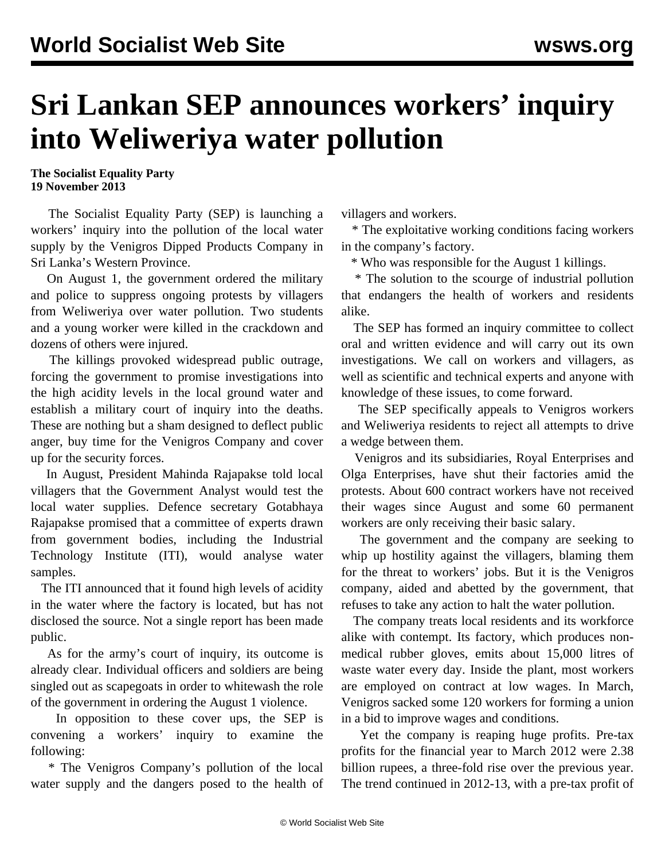## **Sri Lankan SEP announces workers' inquiry into Weliweriya water pollution**

**The Socialist Equality Party 19 November 2013**

 The Socialist Equality Party (SEP) is launching a workers' inquiry into the pollution of the local water supply by the Venigros Dipped Products Company in Sri Lanka's Western Province.

 On August 1, the government ordered the military and police to suppress ongoing protests by villagers from Weliweriya over water pollution. Two students and a young worker were killed in the crackdown and dozens of others were injured.

 The killings provoked widespread public outrage, forcing the government to promise investigations into the high acidity levels in the local ground water and establish a military court of inquiry into the deaths. These are nothing but a sham designed to deflect public anger, buy time for the Venigros Company and cover up for the security forces.

 In August, President Mahinda Rajapakse told local villagers that the Government Analyst would test the local water supplies. Defence secretary Gotabhaya Rajapakse promised that a committee of experts drawn from government bodies, including the Industrial Technology Institute (ITI), would analyse water samples.

 The ITI announced that it found high levels of acidity in the water where the factory is located, but has not disclosed the source. Not a single report has been made public.

 As for the army's court of inquiry, its outcome is already clear. Individual officers and soldiers are being singled out as scapegoats in order to whitewash the role of the government in ordering the August 1 violence.

 In opposition to these cover ups, the SEP is convening a workers' inquiry to examine the following:

 \* The Venigros Company's pollution of the local water supply and the dangers posed to the health of villagers and workers.

 \* The exploitative working conditions facing workers in the company's factory.

\* Who was responsible for the August 1 killings.

 \* The solution to the scourge of industrial pollution that endangers the health of workers and residents alike.

 The SEP has formed an inquiry committee to collect oral and written evidence and will carry out its own investigations. We call on workers and villagers, as well as scientific and technical experts and anyone with knowledge of these issues, to come forward.

 The SEP specifically appeals to Venigros workers and Weliweriya residents to reject all attempts to drive a wedge between them.

 Venigros and its subsidiaries, Royal Enterprises and Olga Enterprises, have shut their factories amid the protests. About 600 contract workers have not received their wages since August and some 60 permanent workers are only receiving their basic salary.

 The government and the company are seeking to whip up hostility against the villagers, blaming them for the threat to workers' jobs. But it is the Venigros company, aided and abetted by the government, that refuses to take any action to halt the water pollution.

 The company treats local residents and its workforce alike with contempt. Its factory, which produces nonmedical rubber gloves, emits about 15,000 litres of waste water every day. Inside the plant, most workers are employed on contract at low wages. In March, Venigros sacked some 120 workers for forming a union in a bid to improve wages and conditions.

 Yet the company is reaping huge profits. Pre-tax profits for the financial year to March 2012 were 2.38 billion rupees, a three-fold rise over the previous year. The trend continued in 2012-13, with a pre-tax profit of